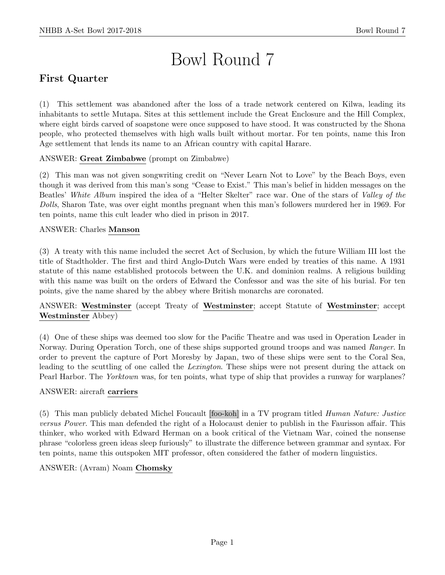# Bowl Round 7

# First Quarter

(1) This settlement was abandoned after the loss of a trade network centered on Kilwa, leading its inhabitants to settle Mutapa. Sites at this settlement include the Great Enclosure and the Hill Complex, where eight birds carved of soapstone were once supposed to have stood. It was constructed by the Shona people, who protected themselves with high walls built without mortar. For ten points, name this Iron Age settlement that lends its name to an African country with capital Harare.

## ANSWER: Great Zimbabwe (prompt on Zimbabwe)

(2) This man was not given songwriting credit on "Never Learn Not to Love" by the Beach Boys, even though it was derived from this man's song "Cease to Exist." This man's belief in hidden messages on the Beatles' White Album inspired the idea of a "Helter Skelter" race war. One of the stars of Valley of the Dolls, Sharon Tate, was over eight months pregnant when this man's followers murdered her in 1969. For ten points, name this cult leader who died in prison in 2017.

#### ANSWER: Charles Manson

(3) A treaty with this name included the secret Act of Seclusion, by which the future William III lost the title of Stadtholder. The first and third Anglo-Dutch Wars were ended by treaties of this name. A 1931 statute of this name established protocols between the U.K. and dominion realms. A religious building with this name was built on the orders of Edward the Confessor and was the site of his burial. For ten points, give the name shared by the abbey where British monarchs are coronated.

ANSWER: Westminster (accept Treaty of Westminster; accept Statute of Westminster; accept Westminster Abbey)

(4) One of these ships was deemed too slow for the Pacific Theatre and was used in Operation Leader in Norway. During Operation Torch, one of these ships supported ground troops and was named Ranger. In order to prevent the capture of Port Moresby by Japan, two of these ships were sent to the Coral Sea, leading to the scuttling of one called the *Lexington*. These ships were not present during the attack on Pearl Harbor. The Yorktown was, for ten points, what type of ship that provides a runway for warplanes?

#### ANSWER: aircraft carriers

(5) This man publicly debated Michel Foucault [foo-koh] in a TV program titled Human Nature: Justice versus Power. This man defended the right of a Holocaust denier to publish in the Faurisson affair. This thinker, who worked with Edward Herman on a book critical of the Vietnam War, coined the nonsense phrase "colorless green ideas sleep furiously" to illustrate the difference between grammar and syntax. For ten points, name this outspoken MIT professor, often considered the father of modern linguistics.

#### ANSWER: (Avram) Noam Chomsky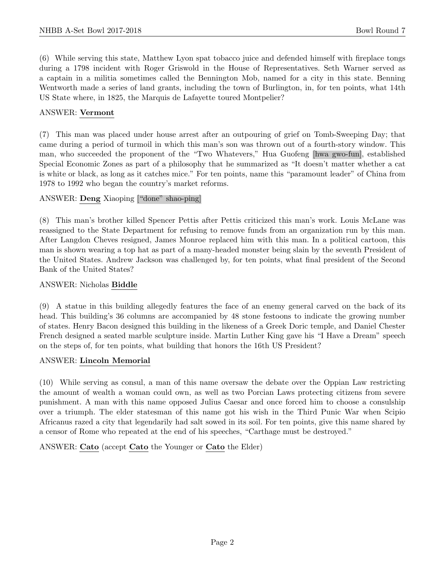(6) While serving this state, Matthew Lyon spat tobacco juice and defended himself with fireplace tongs during a 1798 incident with Roger Griswold in the House of Representatives. Seth Warner served as a captain in a militia sometimes called the Bennington Mob, named for a city in this state. Benning Wentworth made a series of land grants, including the town of Burlington, in, for ten points, what 14th US State where, in 1825, the Marquis de Lafayette toured Montpelier?

#### ANSWER: Vermont

(7) This man was placed under house arrest after an outpouring of grief on Tomb-Sweeping Day; that came during a period of turmoil in which this man's son was thrown out of a fourth-story window. This man, who succeeded the proponent of the "Two Whatevers," Hua Guofeng [hwa gwo-fun], established Special Economic Zones as part of a philosophy that he summarized as "It doesn't matter whether a cat is white or black, as long as it catches mice." For ten points, name this "paramount leader" of China from 1978 to 1992 who began the country's market reforms.

#### ANSWER: Deng Xiaoping ["done" shao-ping]

(8) This man's brother killed Spencer Pettis after Pettis criticized this man's work. Louis McLane was reassigned to the State Department for refusing to remove funds from an organization run by this man. After Langdon Cheves resigned, James Monroe replaced him with this man. In a political cartoon, this man is shown wearing a top hat as part of a many-headed monster being slain by the seventh President of the United States. Andrew Jackson was challenged by, for ten points, what final president of the Second Bank of the United States?

#### ANSWER: Nicholas Biddle

(9) A statue in this building allegedly features the face of an enemy general carved on the back of its head. This building's 36 columns are accompanied by 48 stone festoons to indicate the growing number of states. Henry Bacon designed this building in the likeness of a Greek Doric temple, and Daniel Chester French designed a seated marble sculpture inside. Martin Luther King gave his "I Have a Dream" speech on the steps of, for ten points, what building that honors the 16th US President?

#### ANSWER: Lincoln Memorial

(10) While serving as consul, a man of this name oversaw the debate over the Oppian Law restricting the amount of wealth a woman could own, as well as two Porcian Laws protecting citizens from severe punishment. A man with this name opposed Julius Caesar and once forced him to choose a consulship over a triumph. The elder statesman of this name got his wish in the Third Punic War when Scipio Africanus razed a city that legendarily had salt sowed in its soil. For ten points, give this name shared by a censor of Rome who repeated at the end of his speeches, "Carthage must be destroyed."

ANSWER: Cato (accept Cato the Younger or Cato the Elder)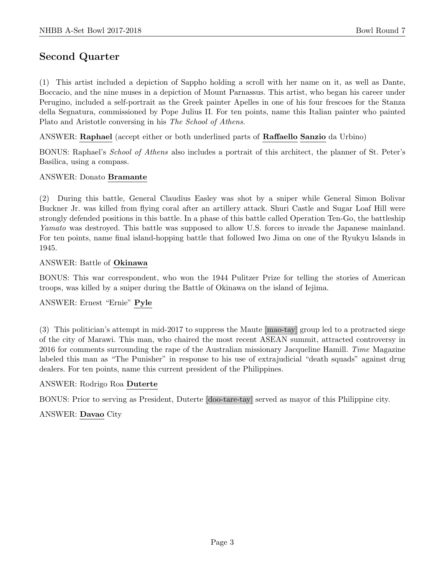# Second Quarter

(1) This artist included a depiction of Sappho holding a scroll with her name on it, as well as Dante, Boccacio, and the nine muses in a depiction of Mount Parnassus. This artist, who began his career under Perugino, included a self-portrait as the Greek painter Apelles in one of his four frescoes for the Stanza della Segnatura, commissioned by Pope Julius II. For ten points, name this Italian painter who painted Plato and Aristotle conversing in his The School of Athens.

ANSWER: Raphael (accept either or both underlined parts of Raffaello Sanzio da Urbino)

BONUS: Raphael's School of Athens also includes a portrait of this architect, the planner of St. Peter's Basilica, using a compass.

#### ANSWER: Donato Bramante

(2) During this battle, General Claudius Easley was shot by a sniper while General Simon Bolivar Buckner Jr. was killed from flying coral after an artillery attack. Shuri Castle and Sugar Loaf Hill were strongly defended positions in this battle. In a phase of this battle called Operation Ten-Go, the battleship Yamato was destroyed. This battle was supposed to allow U.S. forces to invade the Japanese mainland. For ten points, name final island-hopping battle that followed Iwo Jima on one of the Ryukyu Islands in 1945.

#### ANSWER: Battle of Okinawa

BONUS: This war correspondent, who won the 1944 Pulitzer Prize for telling the stories of American troops, was killed by a sniper during the Battle of Okinawa on the island of Iejima.

## ANSWER: Ernest "Ernie" Pyle

(3) This politician's attempt in mid-2017 to suppress the Maute [mao-tay] group led to a protracted siege of the city of Marawi. This man, who chaired the most recent ASEAN summit, attracted controversy in 2016 for comments surrounding the rape of the Australian missionary Jacqueline Hamill. Time Magazine labeled this man as "The Punisher" in response to his use of extrajudicial "death squads" against drug dealers. For ten points, name this current president of the Philippines.

#### ANSWER: Rodrigo Roa Duterte

BONUS: Prior to serving as President, Duterte [doo-tare-tay] served as mayor of this Philippine city.

#### ANSWER: Davao City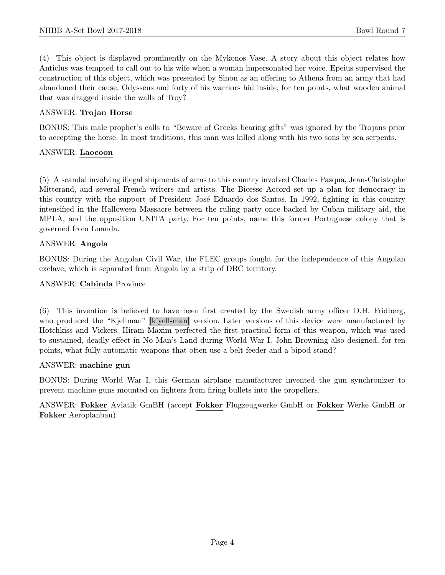(4) This object is displayed prominently on the Mykonos Vase. A story about this object relates how Anticlus was tempted to call out to his wife when a woman impersonated her voice. Epeius supervised the construction of this object, which was presented by Sinon as an offering to Athena from an army that had abandoned their cause. Odysseus and forty of his warriors hid inside, for ten points, what wooden animal that was dragged inside the walls of Troy?

#### ANSWER: Trojan Horse

BONUS: This male prophet's calls to "Beware of Greeks bearing gifts" was ignored by the Trojans prior to accepting the horse. In most traditions, this man was killed along with his two sons by sea serpents.

#### ANSWER: Laocoon

(5) A scandal involving illegal shipments of arms to this country involved Charles Pasqua, Jean-Christophe Mitterand, and several French writers and artists. The Bicesse Accord set up a plan for democracy in this country with the support of President José Eduardo dos Santos. In 1992, fighting in this country intensified in the Halloween Massacre between the ruling party once backed by Cuban military aid, the MPLA, and the opposition UNITA party. For ten points, name this former Portuguese colony that is governed from Luanda.

#### ANSWER: Angola

BONUS: During the Angolan Civil War, the FLEC groups fought for the independence of this Angolan exclave, which is separated from Angola by a strip of DRC territory.

#### ANSWER: Cabinda Province

(6) This invention is believed to have been first created by the Swedish army officer D.H. Fridberg, who produced the "Kjellman" [k'yell-man] version. Later versions of this device were manufactured by Hotchkiss and Vickers. Hiram Maxim perfected the first practical form of this weapon, which was used to sustained, deadly effect in No Man's Land during World War I. John Browning also designed, for ten points, what fully automatic weapons that often use a belt feeder and a bipod stand?

#### ANSWER: machine gun

BONUS: During World War I, this German airplane manufacturer invented the gun synchronizer to prevent machine guns mounted on fighters from firing bullets into the propellers.

ANSWER: Fokker Aviatik GmBH (accept Fokker Flugzeugwerke GmbH or Fokker Werke GmbH or Fokker Aeroplanbau)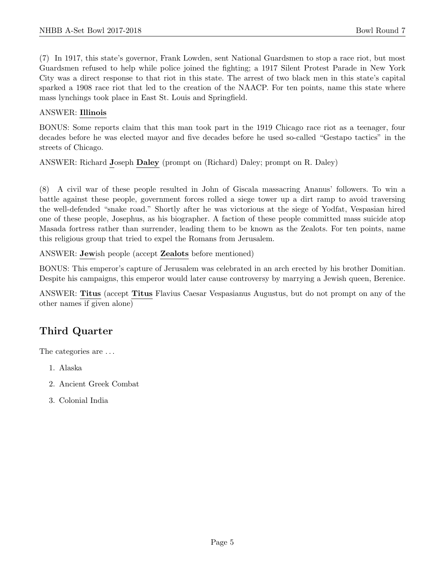(7) In 1917, this state's governor, Frank Lowden, sent National Guardsmen to stop a race riot, but most Guardsmen refused to help while police joined the fighting; a 1917 Silent Protest Parade in New York City was a direct response to that riot in this state. The arrest of two black men in this state's capital sparked a 1908 race riot that led to the creation of the NAACP. For ten points, name this state where mass lynchings took place in East St. Louis and Springfield.

#### ANSWER: Illinois

BONUS: Some reports claim that this man took part in the 1919 Chicago race riot as a teenager, four decades before he was elected mayor and five decades before he used so-called "Gestapo tactics" in the streets of Chicago.

ANSWER: Richard Joseph Daley (prompt on (Richard) Daley; prompt on R. Daley)

(8) A civil war of these people resulted in John of Giscala massacring Ananus' followers. To win a battle against these people, government forces rolled a siege tower up a dirt ramp to avoid traversing the well-defended "snake road." Shortly after he was victorious at the siege of Yodfat, Vespasian hired one of these people, Josephus, as his biographer. A faction of these people committed mass suicide atop Masada fortress rather than surrender, leading them to be known as the Zealots. For ten points, name this religious group that tried to expel the Romans from Jerusalem.

ANSWER: Jewish people (accept Zealots before mentioned)

BONUS: This emperor's capture of Jerusalem was celebrated in an arch erected by his brother Domitian. Despite his campaigns, this emperor would later cause controversy by marrying a Jewish queen, Berenice.

ANSWER: Titus (accept Titus Flavius Caesar Vespasianus Augustus, but do not prompt on any of the other names if given alone)

# Third Quarter

The categories are . . .

- 1. Alaska
- 2. Ancient Greek Combat
- 3. Colonial India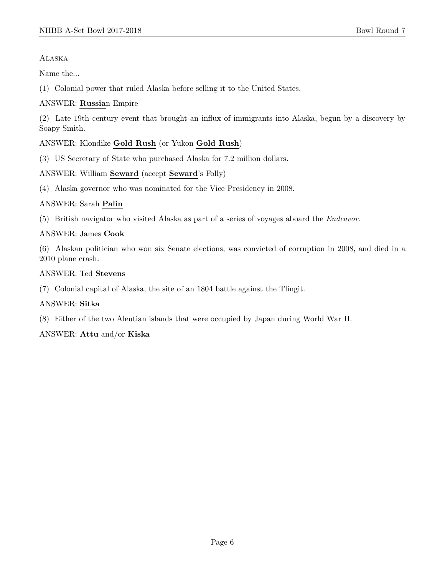Alaska

Name the...

(1) Colonial power that ruled Alaska before selling it to the United States.

#### ANSWER: Russian Empire

(2) Late 19th century event that brought an influx of immigrants into Alaska, begun by a discovery by Soapy Smith.

#### ANSWER: Klondike Gold Rush (or Yukon Gold Rush)

(3) US Secretary of State who purchased Alaska for 7.2 million dollars.

#### ANSWER: William Seward (accept Seward's Folly)

(4) Alaska governor who was nominated for the Vice Presidency in 2008.

#### ANSWER: Sarah Palin

(5) British navigator who visited Alaska as part of a series of voyages aboard the Endeavor.

#### ANSWER: James Cook

(6) Alaskan politician who won six Senate elections, was convicted of corruption in 2008, and died in a 2010 plane crash.

#### ANSWER: Ted Stevens

(7) Colonial capital of Alaska, the site of an 1804 battle against the Tlingit.

#### ANSWER: Sitka

(8) Either of the two Aleutian islands that were occupied by Japan during World War II.

#### ANSWER: Attu and/or Kiska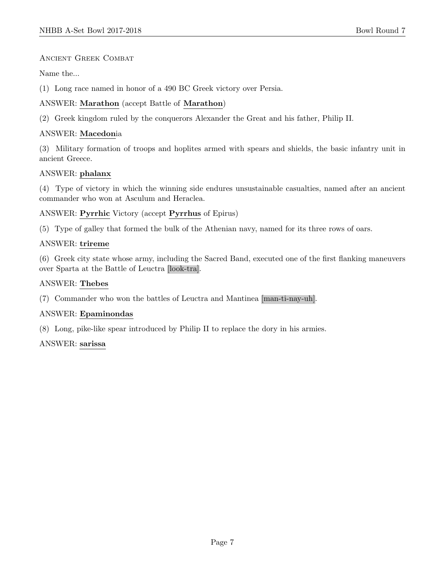#### Ancient Greek Combat

Name the...

(1) Long race named in honor of a 490 BC Greek victory over Persia.

## ANSWER: Marathon (accept Battle of Marathon)

(2) Greek kingdom ruled by the conquerors Alexander the Great and his father, Philip II.

## ANSWER: Macedonia

(3) Military formation of troops and hoplites armed with spears and shields, the basic infantry unit in ancient Greece.

## ANSWER: phalanx

(4) Type of victory in which the winning side endures unsustainable casualties, named after an ancient commander who won at Asculum and Heraclea.

ANSWER: Pyrrhic Victory (accept Pyrrhus of Epirus)

(5) Type of galley that formed the bulk of the Athenian navy, named for its three rows of oars.

#### ANSWER: trireme

(6) Greek city state whose army, including the Sacred Band, executed one of the first flanking maneuvers over Sparta at the Battle of Leuctra [look-tra].

## ANSWER: Thebes

(7) Commander who won the battles of Leuctra and Mantinea [man-ti-nay-uh].

#### ANSWER: Epaminondas

(8) Long, pike-like spear introduced by Philip II to replace the dory in his armies.

#### ANSWER: sarissa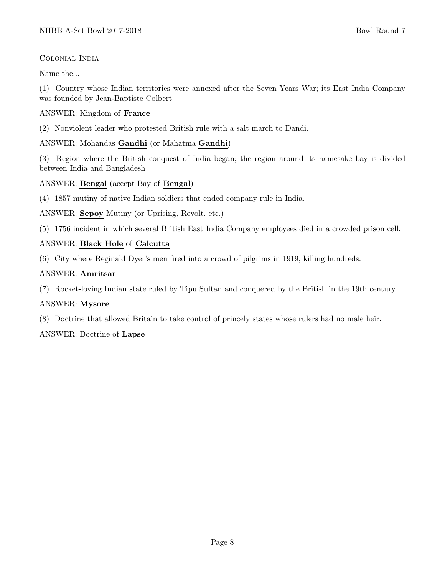## Colonial India

Name the...

(1) Country whose Indian territories were annexed after the Seven Years War; its East India Company was founded by Jean-Baptiste Colbert

## ANSWER: Kingdom of France

(2) Nonviolent leader who protested British rule with a salt march to Dandi.

ANSWER: Mohandas Gandhi (or Mahatma Gandhi)

(3) Region where the British conquest of India began; the region around its namesake bay is divided between India and Bangladesh

## ANSWER: Bengal (accept Bay of Bengal)

(4) 1857 mutiny of native Indian soldiers that ended company rule in India.

ANSWER: Sepoy Mutiny (or Uprising, Revolt, etc.)

(5) 1756 incident in which several British East India Company employees died in a crowded prison cell.

## ANSWER: Black Hole of Calcutta

(6) City where Reginald Dyer's men fired into a crowd of pilgrims in 1919, killing hundreds.

## ANSWER: Amritsar

(7) Rocket-loving Indian state ruled by Tipu Sultan and conquered by the British in the 19th century.

## ANSWER: Mysore

(8) Doctrine that allowed Britain to take control of princely states whose rulers had no male heir.

## ANSWER: Doctrine of Lapse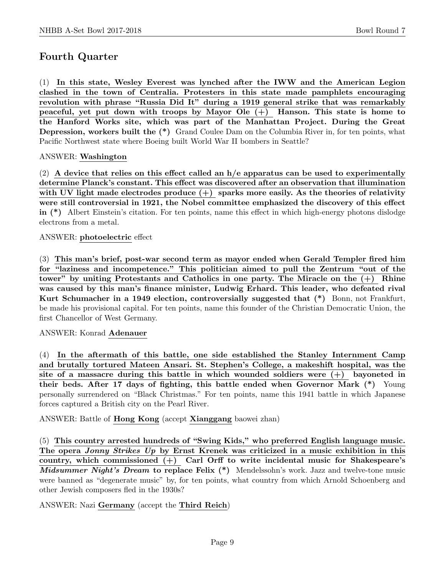## Fourth Quarter

(1) In this state, Wesley Everest was lynched after the IWW and the American Legion clashed in the town of Centralia. Protesters in this state made pamphlets encouraging revolution with phrase "Russia Did It" during a 1919 general strike that was remarkably peaceful, yet put down with troops by Mayor Ole  $(+)$  Hanson. This state is home to the Hanford Works site, which was part of the Manhattan Project. During the Great Depression, workers built the (\*) Grand Coulee Dam on the Columbia River in, for ten points, what Pacific Northwest state where Boeing built World War II bombers in Seattle?

#### ANSWER: Washington

 $(2)$  A device that relies on this effect called an  $h/e$  apparatus can be used to experimentally determine Planck's constant. This effect was discovered after an observation that illumination with UV light made electrodes produce  $(+)$  sparks more easily. As the theories of relativity were still controversial in 1921, the Nobel committee emphasized the discovery of this effect in (\*) Albert Einstein's citation. For ten points, name this effect in which high-energy photons dislodge electrons from a metal.

#### ANSWER: photoelectric effect

(3) This man's brief, post-war second term as mayor ended when Gerald Templer fired him for "laziness and incompetence." This politician aimed to pull the Zentrum "out of the tower" by uniting Protestants and Catholics in one party. The Miracle on the  $(+)$  Rhine was caused by this man's finance minister, Ludwig Erhard. This leader, who defeated rival Kurt Schumacher in a 1949 election, controversially suggested that (\*) Bonn, not Frankfurt, be made his provisional capital. For ten points, name this founder of the Christian Democratic Union, the first Chancellor of West Germany.

#### ANSWER: Konrad Adenauer

(4) In the aftermath of this battle, one side established the Stanley Internment Camp and brutally tortured Mateen Ansari. St. Stephen's College, a makeshift hospital, was the site of a massacre during this battle in which wounded soldiers were  $(+)$  bayoneted in their beds. After 17 days of fighting, this battle ended when Governor Mark (\*) Young personally surrendered on "Black Christmas." For ten points, name this 1941 battle in which Japanese forces captured a British city on the Pearl River.

ANSWER: Battle of Hong Kong (accept Xianggang baowei zhan)

(5) This country arrested hundreds of "Swing Kids," who preferred English language music. The opera Jonny Strikes Up by Ernst Krenek was criticized in a music exhibition in this country, which commissioned (+) Carl Orff to write incidental music for Shakespeare's Midsummer Night's Dream to replace Felix (\*) Mendelssohn's work. Jazz and twelve-tone music were banned as "degenerate music" by, for ten points, what country from which Arnold Schoenberg and other Jewish composers fled in the 1930s?

#### ANSWER: Nazi Germany (accept the Third Reich)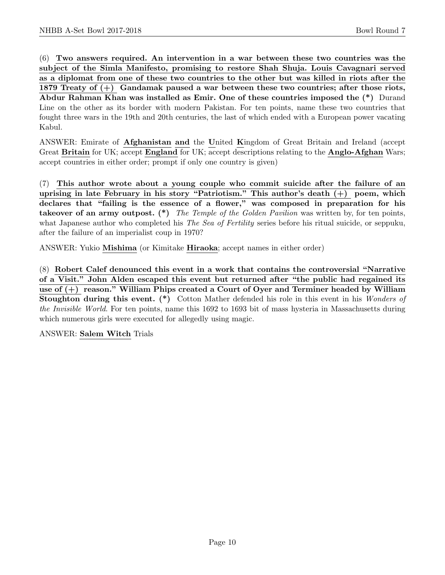(6) Two answers required. An intervention in a war between these two countries was the subject of the Simla Manifesto, promising to restore Shah Shuja. Louis Cavagnari served as a diplomat from one of these two countries to the other but was killed in riots after the 1879 Treaty of (+) Gandamak paused a war between these two countries; after those riots, Abdur Rahman Khan was installed as Emir. One of these countries imposed the (\*) Durand Line on the other as its border with modern Pakistan. For ten points, name these two countries that fought three wars in the 19th and 20th centuries, the last of which ended with a European power vacating Kabul.

ANSWER: Emirate of Afghanistan and the United Kingdom of Great Britain and Ireland (accept Great Britain for UK; accept England for UK; accept descriptions relating to the Anglo-Afghan Wars; accept countries in either order; prompt if only one country is given)

(7) This author wrote about a young couple who commit suicide after the failure of an uprising in late February in his story "Patriotism." This author's death (+) poem, which declares that "failing is the essence of a flower," was composed in preparation for his takeover of an army outpost.  $(*)$  The Temple of the Golden Pavilion was written by, for ten points, what Japanese author who completed his *The Sea of Fertility* series before his ritual suicide, or seppuku, after the failure of an imperialist coup in 1970?

ANSWER: Yukio Mishima (or Kimitake Hiraoka; accept names in either order)

(8) Robert Calef denounced this event in a work that contains the controversial "Narrative of a Visit." John Alden escaped this event but returned after "the public had regained its use of  $(+)$  reason." William Phips created a Court of Oyer and Terminer headed by William Stoughton during this event. (\*) Cotton Mather defended his role in this event in his Wonders of the Invisible World. For ten points, name this 1692 to 1693 bit of mass hysteria in Massachusetts during which numerous girls were executed for allegedly using magic.

ANSWER: Salem Witch Trials